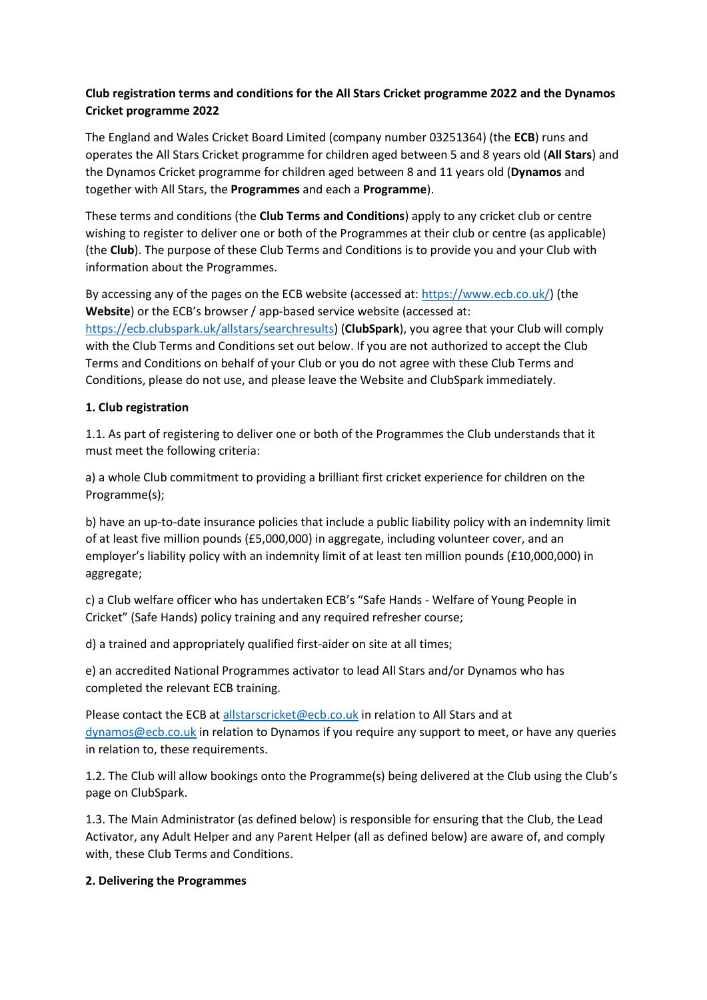## **Club registration terms and conditions for the All Stars Cricket programme 2022 and the Dynamos Cricket programme 2022**

The England and Wales Cricket Board Limited (company number 03251364) (the **ECB**) runs and operates the All Stars Cricket programme for children aged between 5 and 8 years old (**All Stars**) and the Dynamos Cricket programme for children aged between 8 and 11 years old (**Dynamos** and together with All Stars, the **Programmes** and each a **Programme**).

These terms and conditions (the **Club Terms and Conditions**) apply to any cricket club or centre wishing to register to deliver one or both of the Programmes at their club or centre (as applicable) (the **Club**). The purpose of these Club Terms and Conditions is to provide you and your Club with information about the Programmes.

By accessing any of the pages on the ECB website (accessed at: [https://www.ecb.co.uk/\)](https://www.ecb.co.uk/) (the **Website**) or the ECB's browser / app-based service website (accessed at: [https://ecb.clubspark.uk/allstars/searchresults\)](https://ecb.clubspark.uk/allstars/searchresults) (**ClubSpark**), you agree that your Club will comply with the Club Terms and Conditions set out below. If you are not authorized to accept the Club Terms and Conditions on behalf of your Club or you do not agree with these Club Terms and Conditions, please do not use, and please leave the Website and ClubSpark immediately.

#### **1. Club registration**

1.1. As part of registering to deliver one or both of the Programmes the Club understands that it must meet the following criteria:

a) a whole Club commitment to providing a brilliant first cricket experience for children on the Programme(s);

b) have an up-to-date insurance policies that include a public liability policy with an indemnity limit of at least five million pounds (£5,000,000) in aggregate, including volunteer cover, and an employer's liability policy with an indemnity limit of at least ten million pounds (£10,000,000) in aggregate;

c) a Club welfare officer who has undertaken ECB's "Safe Hands - Welfare of Young People in Cricket" (Safe Hands) policy training and any required refresher course;

d) a trained and appropriately qualified first-aider on site at all times;

e) an accredited National Programmes activator to lead All Stars and/or Dynamos who has completed the relevant ECB training.

Please contact the ECB at [allstarscricket@ecb.co.uk](mailto:allstarscricket@ecb.co.uk) in relation to All Stars and at [dynamos@ecb.co.uk](mailto:dynamos@ecb.co.uk) in relation to Dynamos if you require any support to meet, or have any queries in relation to, these requirements.

1.2. The Club will allow bookings onto the Programme(s) being delivered at the Club using the Club's page on ClubSpark.

1.3. The Main Administrator (as defined below) is responsible for ensuring that the Club, the Lead Activator, any Adult Helper and any Parent Helper (all as defined below) are aware of, and comply with, these Club Terms and Conditions.

#### **2. Delivering the Programmes**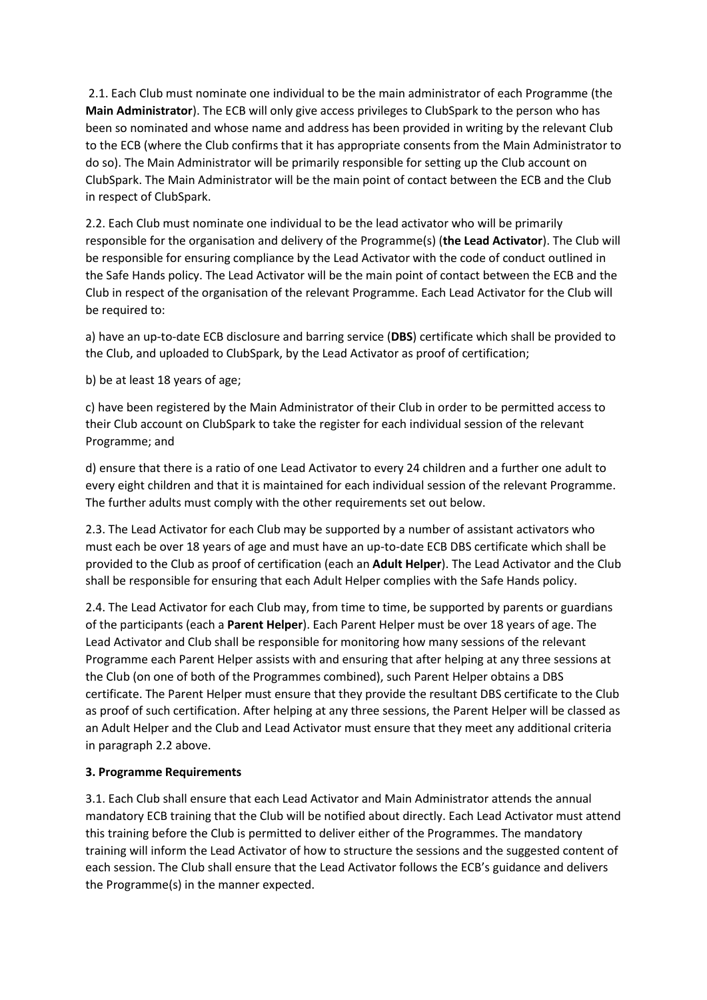2.1. Each Club must nominate one individual to be the main administrator of each Programme (the **Main Administrator**). The ECB will only give access privileges to ClubSpark to the person who has been so nominated and whose name and address has been provided in writing by the relevant Club to the ECB (where the Club confirms that it has appropriate consents from the Main Administrator to do so). The Main Administrator will be primarily responsible for setting up the Club account on ClubSpark. The Main Administrator will be the main point of contact between the ECB and the Club in respect of ClubSpark.

2.2. Each Club must nominate one individual to be the lead activator who will be primarily responsible for the organisation and delivery of the Programme(s) (**the Lead Activator**). The Club will be responsible for ensuring compliance by the Lead Activator with the code of conduct outlined in the Safe Hands policy. The Lead Activator will be the main point of contact between the ECB and the Club in respect of the organisation of the relevant Programme. Each Lead Activator for the Club will be required to:

a) have an up-to-date ECB disclosure and barring service (**DBS**) certificate which shall be provided to the Club, and uploaded to ClubSpark, by the Lead Activator as proof of certification;

b) be at least 18 years of age;

c) have been registered by the Main Administrator of their Club in order to be permitted access to their Club account on ClubSpark to take the register for each individual session of the relevant Programme; and

d) ensure that there is a ratio of one Lead Activator to every 24 children and a further one adult to every eight children and that it is maintained for each individual session of the relevant Programme. The further adults must comply with the other requirements set out below.

2.3. The Lead Activator for each Club may be supported by a number of assistant activators who must each be over 18 years of age and must have an up-to-date ECB DBS certificate which shall be provided to the Club as proof of certification (each an **Adult Helper**). The Lead Activator and the Club shall be responsible for ensuring that each Adult Helper complies with the Safe Hands policy.

2.4. The Lead Activator for each Club may, from time to time, be supported by parents or guardians of the participants (each a **Parent Helper**). Each Parent Helper must be over 18 years of age. The Lead Activator and Club shall be responsible for monitoring how many sessions of the relevant Programme each Parent Helper assists with and ensuring that after helping at any three sessions at the Club (on one of both of the Programmes combined), such Parent Helper obtains a DBS certificate. The Parent Helper must ensure that they provide the resultant DBS certificate to the Club as proof of such certification. After helping at any three sessions, the Parent Helper will be classed as an Adult Helper and the Club and Lead Activator must ensure that they meet any additional criteria in paragraph 2.2 above.

## **3. Programme Requirements**

3.1. Each Club shall ensure that each Lead Activator and Main Administrator attends the annual mandatory ECB training that the Club will be notified about directly. Each Lead Activator must attend this training before the Club is permitted to deliver either of the Programmes. The mandatory training will inform the Lead Activator of how to structure the sessions and the suggested content of each session. The Club shall ensure that the Lead Activator follows the ECB's guidance and delivers the Programme(s) in the manner expected.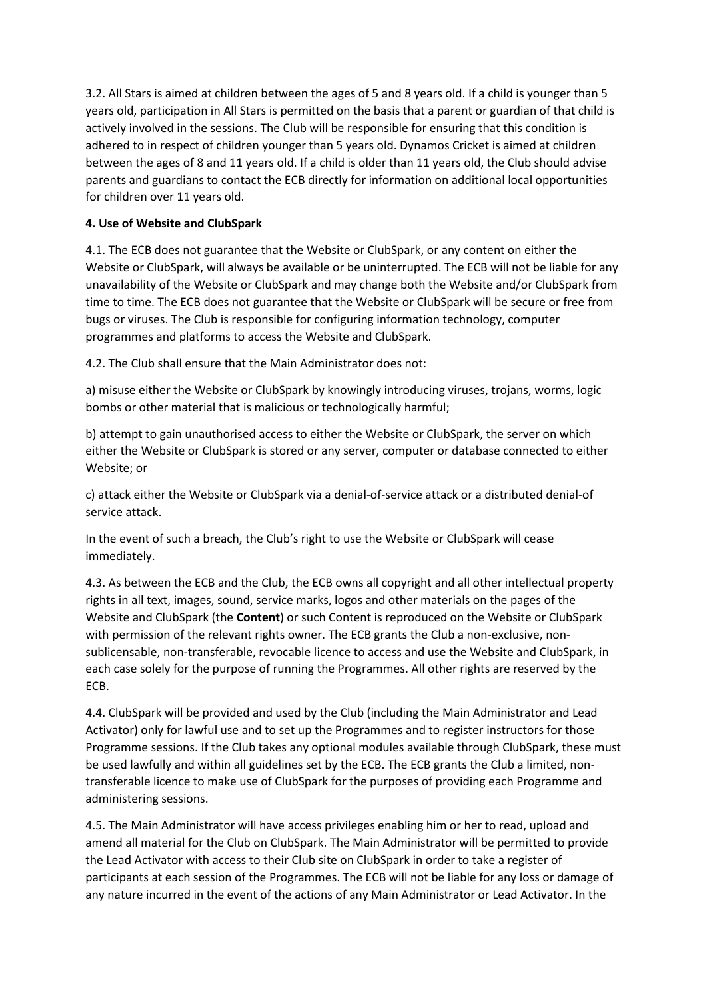3.2. All Stars is aimed at children between the ages of 5 and 8 years old. If a child is younger than 5 years old, participation in All Stars is permitted on the basis that a parent or guardian of that child is actively involved in the sessions. The Club will be responsible for ensuring that this condition is adhered to in respect of children younger than 5 years old. Dynamos Cricket is aimed at children between the ages of 8 and 11 years old. If a child is older than 11 years old, the Club should advise parents and guardians to contact the ECB directly for information on additional local opportunities for children over 11 years old.

## **4. Use of Website and ClubSpark**

4.1. The ECB does not guarantee that the Website or ClubSpark, or any content on either the Website or ClubSpark, will always be available or be uninterrupted. The ECB will not be liable for any unavailability of the Website or ClubSpark and may change both the Website and/or ClubSpark from time to time. The ECB does not guarantee that the Website or ClubSpark will be secure or free from bugs or viruses. The Club is responsible for configuring information technology, computer programmes and platforms to access the Website and ClubSpark.

4.2. The Club shall ensure that the Main Administrator does not:

a) misuse either the Website or ClubSpark by knowingly introducing viruses, trojans, worms, logic bombs or other material that is malicious or technologically harmful;

b) attempt to gain unauthorised access to either the Website or ClubSpark, the server on which either the Website or ClubSpark is stored or any server, computer or database connected to either Website; or

c) attack either the Website or ClubSpark via a denial-of-service attack or a distributed denial-of service attack.

In the event of such a breach, the Club's right to use the Website or ClubSpark will cease immediately.

4.3. As between the ECB and the Club, the ECB owns all copyright and all other intellectual property rights in all text, images, sound, service marks, logos and other materials on the pages of the Website and ClubSpark (the **Content**) or such Content is reproduced on the Website or ClubSpark with permission of the relevant rights owner. The ECB grants the Club a non-exclusive, nonsublicensable, non-transferable, revocable licence to access and use the Website and ClubSpark, in each case solely for the purpose of running the Programmes. All other rights are reserved by the ECB.

4.4. ClubSpark will be provided and used by the Club (including the Main Administrator and Lead Activator) only for lawful use and to set up the Programmes and to register instructors for those Programme sessions. If the Club takes any optional modules available through ClubSpark, these must be used lawfully and within all guidelines set by the ECB. The ECB grants the Club a limited, nontransferable licence to make use of ClubSpark for the purposes of providing each Programme and administering sessions.

4.5. The Main Administrator will have access privileges enabling him or her to read, upload and amend all material for the Club on ClubSpark. The Main Administrator will be permitted to provide the Lead Activator with access to their Club site on ClubSpark in order to take a register of participants at each session of the Programmes. The ECB will not be liable for any loss or damage of any nature incurred in the event of the actions of any Main Administrator or Lead Activator. In the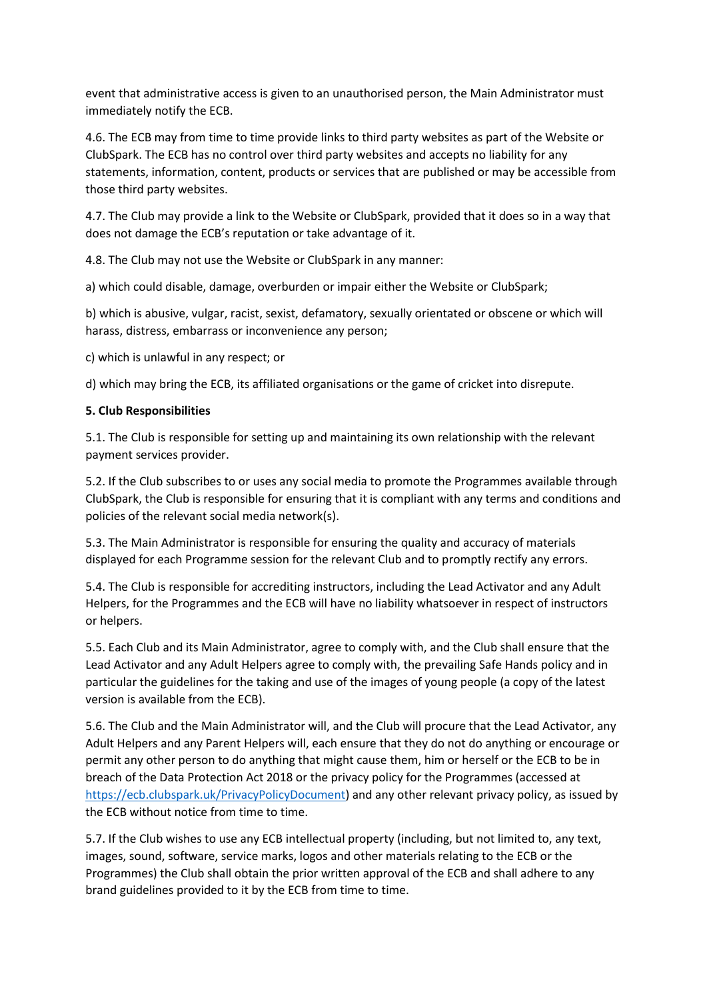event that administrative access is given to an unauthorised person, the Main Administrator must immediately notify the ECB.

4.6. The ECB may from time to time provide links to third party websites as part of the Website or ClubSpark. The ECB has no control over third party websites and accepts no liability for any statements, information, content, products or services that are published or may be accessible from those third party websites.

4.7. The Club may provide a link to the Website or ClubSpark, provided that it does so in a way that does not damage the ECB's reputation or take advantage of it.

4.8. The Club may not use the Website or ClubSpark in any manner:

a) which could disable, damage, overburden or impair either the Website or ClubSpark;

b) which is abusive, vulgar, racist, sexist, defamatory, sexually orientated or obscene or which will harass, distress, embarrass or inconvenience any person;

c) which is unlawful in any respect; or

d) which may bring the ECB, its affiliated organisations or the game of cricket into disrepute.

#### **5. Club Responsibilities**

5.1. The Club is responsible for setting up and maintaining its own relationship with the relevant payment services provider.

5.2. If the Club subscribes to or uses any social media to promote the Programmes available through ClubSpark, the Club is responsible for ensuring that it is compliant with any terms and conditions and policies of the relevant social media network(s).

5.3. The Main Administrator is responsible for ensuring the quality and accuracy of materials displayed for each Programme session for the relevant Club and to promptly rectify any errors.

5.4. The Club is responsible for accrediting instructors, including the Lead Activator and any Adult Helpers, for the Programmes and the ECB will have no liability whatsoever in respect of instructors or helpers.

5.5. Each Club and its Main Administrator, agree to comply with, and the Club shall ensure that the Lead Activator and any Adult Helpers agree to comply with, the prevailing Safe Hands policy and in particular the guidelines for the taking and use of the images of young people (a copy of the latest version is available from the ECB).

5.6. The Club and the Main Administrator will, and the Club will procure that the Lead Activator, any Adult Helpers and any Parent Helpers will, each ensure that they do not do anything or encourage or permit any other person to do anything that might cause them, him or herself or the ECB to be in breach of the Data Protection Act 2018 or the privacy policy for the Programmes (accessed at [https://ecb.clubspark.uk/PrivacyPolicyDocument\)](https://ecb.clubspark.uk/PrivacyPolicyDocument) and any other relevant privacy policy, as issued by the ECB without notice from time to time.

5.7. If the Club wishes to use any ECB intellectual property (including, but not limited to, any text, images, sound, software, service marks, logos and other materials relating to the ECB or the Programmes) the Club shall obtain the prior written approval of the ECB and shall adhere to any brand guidelines provided to it by the ECB from time to time.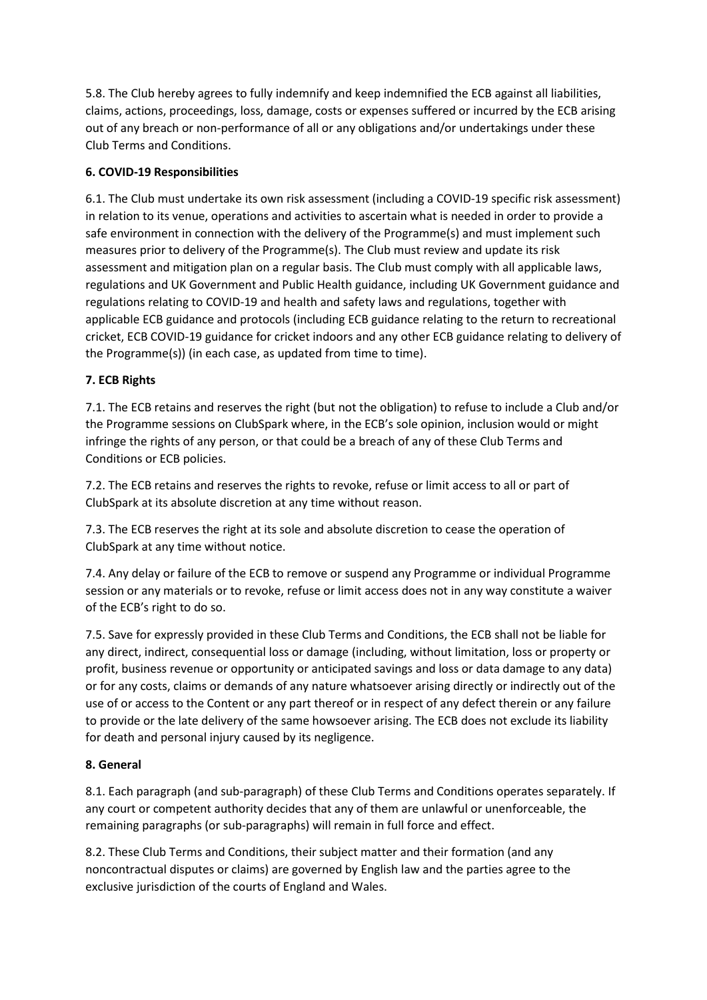5.8. The Club hereby agrees to fully indemnify and keep indemnified the ECB against all liabilities, claims, actions, proceedings, loss, damage, costs or expenses suffered or incurred by the ECB arising out of any breach or non-performance of all or any obligations and/or undertakings under these Club Terms and Conditions.

## **6. COVID-19 Responsibilities**

6.1. The Club must undertake its own risk assessment (including a COVID-19 specific risk assessment) in relation to its venue, operations and activities to ascertain what is needed in order to provide a safe environment in connection with the delivery of the Programme(s) and must implement such measures prior to delivery of the Programme(s). The Club must review and update its risk assessment and mitigation plan on a regular basis. The Club must comply with all applicable laws, regulations and UK Government and Public Health guidance, including UK Government guidance and regulations relating to COVID-19 and health and safety laws and regulations, together with applicable ECB guidance and protocols (including ECB guidance relating to the return to recreational cricket, ECB COVID-19 guidance for cricket indoors and any other ECB guidance relating to delivery of the Programme(s)) (in each case, as updated from time to time).

# **7. ECB Rights**

7.1. The ECB retains and reserves the right (but not the obligation) to refuse to include a Club and/or the Programme sessions on ClubSpark where, in the ECB's sole opinion, inclusion would or might infringe the rights of any person, or that could be a breach of any of these Club Terms and Conditions or ECB policies.

7.2. The ECB retains and reserves the rights to revoke, refuse or limit access to all or part of ClubSpark at its absolute discretion at any time without reason.

7.3. The ECB reserves the right at its sole and absolute discretion to cease the operation of ClubSpark at any time without notice.

7.4. Any delay or failure of the ECB to remove or suspend any Programme or individual Programme session or any materials or to revoke, refuse or limit access does not in any way constitute a waiver of the ECB's right to do so.

7.5. Save for expressly provided in these Club Terms and Conditions, the ECB shall not be liable for any direct, indirect, consequential loss or damage (including, without limitation, loss or property or profit, business revenue or opportunity or anticipated savings and loss or data damage to any data) or for any costs, claims or demands of any nature whatsoever arising directly or indirectly out of the use of or access to the Content or any part thereof or in respect of any defect therein or any failure to provide or the late delivery of the same howsoever arising. The ECB does not exclude its liability for death and personal injury caused by its negligence.

## **8. General**

8.1. Each paragraph (and sub-paragraph) of these Club Terms and Conditions operates separately. If any court or competent authority decides that any of them are unlawful or unenforceable, the remaining paragraphs (or sub-paragraphs) will remain in full force and effect.

8.2. These Club Terms and Conditions, their subject matter and their formation (and any noncontractual disputes or claims) are governed by English law and the parties agree to the exclusive jurisdiction of the courts of England and Wales.